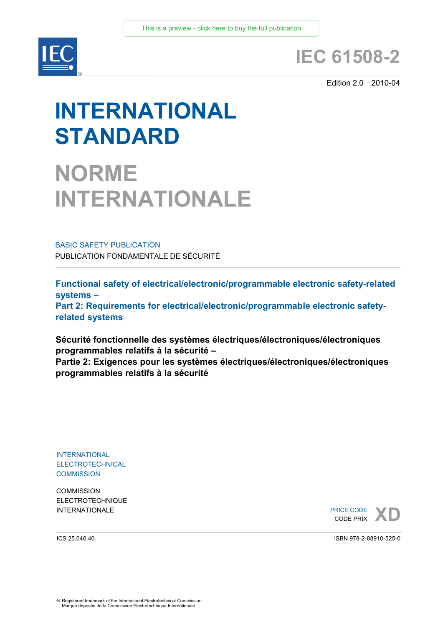

### **IEC 61508-2**

Edition 2.0 2010-04

# **INTERNATIONAL STANDARD**

## **NORME INTERNATIONALE**

BASIC SAFETY PUBLICATION PUBLICATION FONDAMENTALE DE SÉCURITÉ

**Functional safety of electrical/electronic/programmable electronic safety-related systems –** 

**Part 2: Requirements for electrical/electronic/programmable electronic safetyrelated systems** 

**Sécurité fonctionnelle des systèmes électriques/électroniques/électroniques programmables relatifs à la sécurité –** 

**Partie 2: Exigences pour les systèmes électriques/électroniques/électroniques programmables relatifs à la sécurité** 

INTERNATIONAL ELECTROTECHNICAL **COMMISSION** 

**COMMISSION** ELECTROTECHNIQUE

INTERNATIONALE **NATURALE SERVICE SOME PRICE CODE XD** PRICE CODE CODE PRIX

ICS 25.040.40

ISBN 978-2-88910-525-0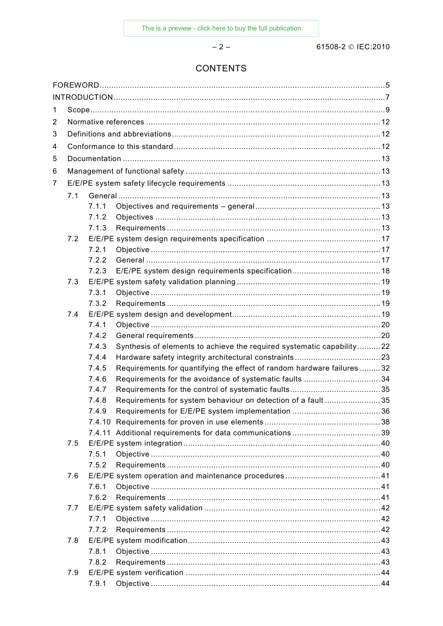$-2-$ 

### **CONTENTS**

| 1 |     |                |                                                                       |  |
|---|-----|----------------|-----------------------------------------------------------------------|--|
| 2 |     |                |                                                                       |  |
| 3 |     |                |                                                                       |  |
| 4 |     |                |                                                                       |  |
| 5 |     |                |                                                                       |  |
| 6 |     |                |                                                                       |  |
| 7 |     |                |                                                                       |  |
|   |     |                |                                                                       |  |
|   | 7.1 |                |                                                                       |  |
|   |     | 7.1.1<br>7.1.2 |                                                                       |  |
|   |     | 7.1.3          |                                                                       |  |
|   | 7.2 |                |                                                                       |  |
|   |     | 7.2.1          |                                                                       |  |
|   |     | 7.2.2          |                                                                       |  |
|   |     | 7.2.3          |                                                                       |  |
|   | 7.3 |                |                                                                       |  |
|   |     | 7.3.1          |                                                                       |  |
|   |     | 7.3.2          |                                                                       |  |
|   | 7.4 |                |                                                                       |  |
|   |     | 7.4.1          |                                                                       |  |
|   |     | 7.4.2          |                                                                       |  |
|   |     | 7.4.3          | Synthesis of elements to achieve the required systematic capability22 |  |
|   |     | 7.4.4          |                                                                       |  |
|   |     | 7.4.5          | Requirements for quantifying the effect of random hardware failures32 |  |
|   |     | 7.4.6          | Requirements for the avoidance of systematic faults 34                |  |
|   |     | 7.4.7          |                                                                       |  |
|   |     | 7.4.8          | Requirements for system behaviour on detection of a fault35           |  |
|   |     | 7.4.9          |                                                                       |  |
|   |     |                |                                                                       |  |
|   |     |                |                                                                       |  |
|   | 7.5 |                |                                                                       |  |
|   |     | 7.5.1          |                                                                       |  |
|   |     | 7.5.2          |                                                                       |  |
|   | 7.6 |                |                                                                       |  |
|   |     | 7.6.1          |                                                                       |  |
|   |     | 7.6.2          |                                                                       |  |
|   | 7.7 | 7.7.1          |                                                                       |  |
|   |     | 7.7.2          |                                                                       |  |
|   | 7.8 |                |                                                                       |  |
|   |     | 7.8.1          |                                                                       |  |
|   |     | 7.8.2          |                                                                       |  |
|   | 7.9 |                |                                                                       |  |
|   |     | 7.9.1          |                                                                       |  |
|   |     |                |                                                                       |  |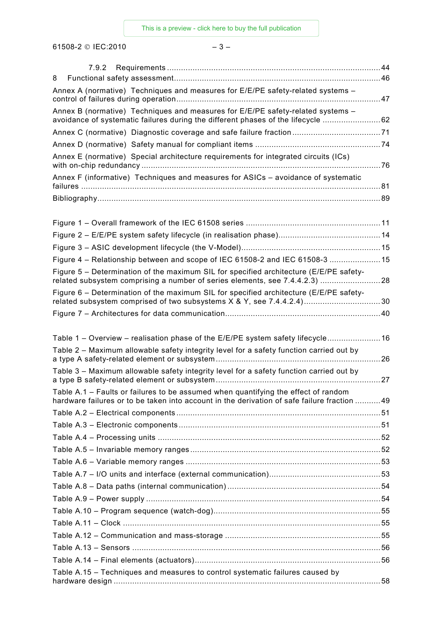61508-2 © IEC:2010 – 3 –

| 8                                                                                                                                                                                  |  |
|------------------------------------------------------------------------------------------------------------------------------------------------------------------------------------|--|
| Annex A (normative) Techniques and measures for E/E/PE safety-related systems -                                                                                                    |  |
|                                                                                                                                                                                    |  |
| Annex B (normative) Techniques and measures for E/E/PE safety-related systems -<br>avoidance of systematic failures during the different phases of the lifecycle 62                |  |
|                                                                                                                                                                                    |  |
|                                                                                                                                                                                    |  |
| Annex E (normative) Special architecture requirements for integrated circuits (ICs)                                                                                                |  |
| Annex F (informative) Techniques and measures for ASICs - avoidance of systematic                                                                                                  |  |
|                                                                                                                                                                                    |  |
|                                                                                                                                                                                    |  |
|                                                                                                                                                                                    |  |
|                                                                                                                                                                                    |  |
|                                                                                                                                                                                    |  |
| Figure 4 - Relationship between and scope of IEC 61508-2 and IEC 61508-3  15                                                                                                       |  |
| Figure 5 - Determination of the maximum SIL for specified architecture (E/E/PE safety-                                                                                             |  |
|                                                                                                                                                                                    |  |
| Figure 6 – Determination of the maximum SIL for specified architecture (E/E/PE safety-                                                                                             |  |
|                                                                                                                                                                                    |  |
|                                                                                                                                                                                    |  |
| Table 1 - Overview - realisation phase of the E/E/PE system safety lifecycle 16                                                                                                    |  |
| Table 2 - Maximum allowable safety integrity level for a safety function carried out by                                                                                            |  |
| Table 3 - Maximum allowable safety integrity level for a safety function carried out by                                                                                            |  |
|                                                                                                                                                                                    |  |
| Table A.1 - Faults or failures to be assumed when quantifying the effect of random<br>hardware failures or to be taken into account in the derivation of safe failure fraction  49 |  |
|                                                                                                                                                                                    |  |
|                                                                                                                                                                                    |  |
|                                                                                                                                                                                    |  |
|                                                                                                                                                                                    |  |
|                                                                                                                                                                                    |  |
|                                                                                                                                                                                    |  |
|                                                                                                                                                                                    |  |
|                                                                                                                                                                                    |  |
|                                                                                                                                                                                    |  |
|                                                                                                                                                                                    |  |
|                                                                                                                                                                                    |  |
|                                                                                                                                                                                    |  |
|                                                                                                                                                                                    |  |
| Table A.15 - Techniques and measures to control systematic failures caused by                                                                                                      |  |
|                                                                                                                                                                                    |  |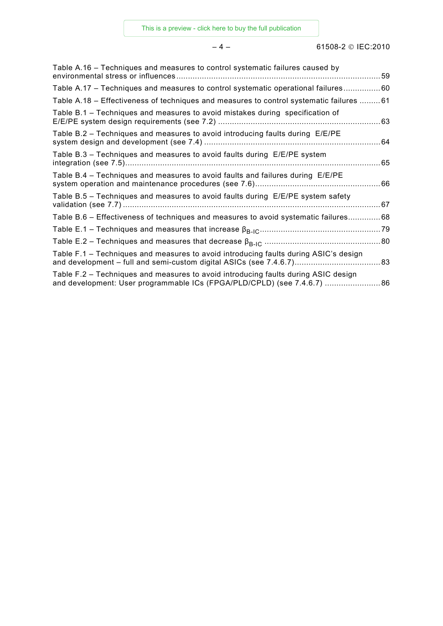| Table A.16 – Techniques and measures to control systematic failures caused by                                                                                 |     |
|---------------------------------------------------------------------------------------------------------------------------------------------------------------|-----|
| Table A.17 – Techniques and measures to control systematic operational failures60                                                                             |     |
| Table A.18 – Effectiveness of techniques and measures to control systematic failures  61                                                                      |     |
| Table B.1 – Techniques and measures to avoid mistakes during specification of                                                                                 |     |
| Table B.2 – Techniques and measures to avoid introducing faults during E/E/PE                                                                                 | .64 |
| Table B.3 – Techniques and measures to avoid faults during E/E/PE system                                                                                      |     |
| Table B.4 – Techniques and measures to avoid faults and failures during E/E/PE                                                                                |     |
| Table B.5 - Techniques and measures to avoid faults during E/E/PE system safety                                                                               |     |
| Table B.6 – Effectiveness of techniques and measures to avoid systematic failures68                                                                           |     |
|                                                                                                                                                               |     |
|                                                                                                                                                               |     |
| Table F.1 – Techniques and measures to avoid introducing faults during ASIC's design                                                                          |     |
| Table F.2 - Techniques and measures to avoid introducing faults during ASIC design<br>and development: User programmable ICs (FPGA/PLD/CPLD) (see 7.4.6.7) 86 |     |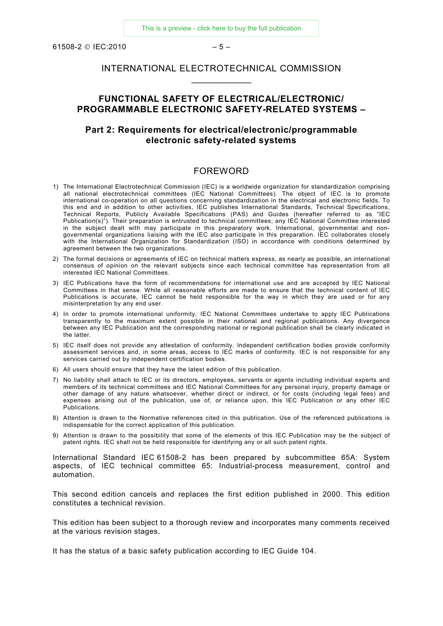<span id="page-4-0"></span>61508-2 © IFC:2010 – 5 –

#### INTERNATIONAL ELECTROTECHNICAL COMMISSION  $\frac{1}{2}$  ,  $\frac{1}{2}$  ,  $\frac{1}{2}$  ,  $\frac{1}{2}$  ,  $\frac{1}{2}$  ,  $\frac{1}{2}$

#### **FUNCTIONAL SAFETY OF ELECTRICAL/ELECTRONIC/ PROGRAMMABLE ELECTRONIC SAFETY-RELATED SYSTEMS –**

#### **Part 2: Requirements for electrical/electronic/programmable electronic safety-related systems**

#### FOREWORD

- 1) The International Electrotechnical Commission (IEC) is a worldwide organization for standardization comprising all national electrotechnical committees (IEC National Committees). The object of IEC is to promote international co-operation on all questions concerning standardization in the electrical and electronic fields. To this end and in addition to other activities, IEC publishes International Standards, Technical Specifications, Technical Reports, Publicly Available Specifications (PAS) and Guides (hereafter referred to as "IEC Publication(s)"). Their preparation is entrusted to technical committees; any IEC National Committee interested in the subject dealt with may participate in this preparatory work. International, governmental and nongovernmental organizations liaising with the IEC also participate in this preparation. IEC collaborates closely with the International Organization for Standardization (ISO) in accordance with conditions determined by agreement between the two organizations.
- 2) The formal decisions or agreements of IEC on technical matters express, as nearly as possible, an international consensus of opinion on the relevant subjects since each technical committee has representation from all interested IEC National Committees.
- 3) IEC Publications have the form of recommendations for international use and are accepted by IEC National Committees in that sense. While all reasonable efforts are made to ensure that the technical content of IEC Publications is accurate, IEC cannot be held responsible for the way in which they are used or for any misinterpretation by any end user.
- 4) In order to promote international uniformity, IEC National Committees undertake to apply IEC Publications transparently to the maximum extent possible in their national and regional publications. Any divergence between any IEC Publication and the corresponding national or regional publication shall be clearly indicated in the latter.
- 5) IEC itself does not provide any attestation of conformity. Independent certification bodies provide conformity assessment services and, in some areas, access to IEC marks of conformity. IEC is not responsible for any services carried out by independent certification bodies.
- 6) All users should ensure that they have the latest edition of this publication.
- 7) No liability shall attach to IEC or its directors, employees, servants or agents including individual experts and members of its technical committees and IEC National Committees for any personal injury, property damage or other damage of any nature whatsoever, whether direct or indirect, or for costs (including legal fees) and expenses arising out of the publication, use of, or reliance upon, this IEC Publication or any other IEC Publications.
- 8) Attention is drawn to the Normative references cited in this publication. Use of the referenced publications is indispensable for the correct application of this publication.
- 9) Attention is drawn to the possibility that some of the elements of this IEC Publication may be the subject of patent rights. IEC shall not be held responsible for identifying any or all such patent rights.

International Standard IEC 61508-2 has been prepared by subcommittee 65A: System aspects, of IEC technical committee 65: Industrial-process measurement, control and automation.

This second edition cancels and replaces the first edition published in 2000. This edition constitutes a technical revision.

This edition has been subject to a thorough review and incorporates many comments received at the various revision stages.

It has the status of a basic safety publication according to IEC Guide 104.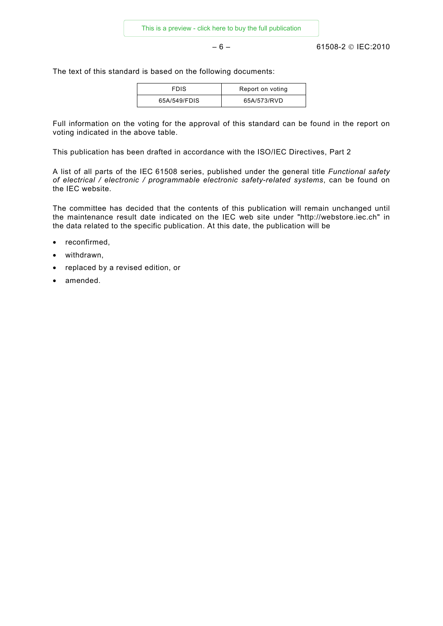$-6 - 6$  – 61508-2 © IEC:2010

The text of this standard is based on the following documents:

| <b>FDIS</b>  | Report on voting |
|--------------|------------------|
| 65A/549/FDIS | 65A/573/RVD      |

Full information on the voting for the approval of this standard can be found in the report on voting indicated in the above table.

This publication has been drafted in accordance with the ISO/IEC Directives, Part 2

A list of all parts of the IEC 61508 series, published under the general title *Functional safety of electrical / electronic / programmable electronic safety-related systems*, can be found on the IEC website.

The committee has decided that the contents of this publication will remain unchanged until the maintenance result date indicated on the IEC web site under "http://webstore.iec.ch" in the data related to the specific publication. At this date, the publication will be

- reconfirmed,
- withdrawn,
- replaced by a revised edition, or
- amended.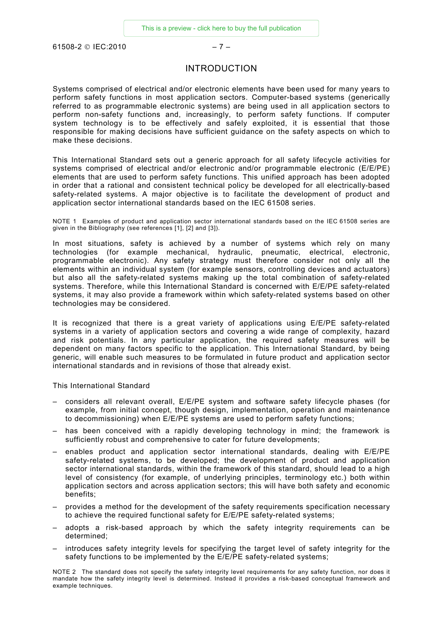<span id="page-6-0"></span> $61508-2$  © IFC: 2010 – 7 –

#### INTRODUCTION

Systems comprised of electrical and/or electronic elements have been used for many years to perform safety functions in most application sectors. Computer-based systems (generically referred to as programmable electronic systems) are being used in all application sectors to perform non-safety functions and, increasingly, to perform safety functions. If computer system technology is to be effectively and safely exploited, it is essential that those responsible for making decisions have sufficient guidance on the safety aspects on which to make these decisions.

This International Standard sets out a generic approach for all safety lifecycle activities for systems comprised of electrical and/or electronic and/or programmable electronic (E/E/PE) elements that are used to perform safety functions. This unified approach has been adopted in order that a rational and consistent technical policy be developed for all electrically-based safety-related systems. A major objective is to facilitate the development of product and application sector international standards based on the IEC 61508 series.

NOTE 1 Examples of product and application sector international standards based on the IEC 61508 series are given in the Bibliography (see references [1], [2] and [3]).

In most situations, safety is achieved by a number of systems which rely on many technologies (for example mechanical, hydraulic, pneumatic, electrical, electronic, programmable electronic). Any safety strategy must therefore consider not only all the elements within an individual system (for example sensors, controlling devices and actuators) but also all the safety-related systems making up the total combination of safety-related systems. Therefore, while this International Standard is concerned with E/E/PE safety-related systems, it may also provide a framework within which safety-related systems based on other technologies may be considered.

It is recognized that there is a great variety of applications using E/E/PE safety-related systems in a variety of application sectors and covering a wide range of complexity, hazard and risk potentials. In any particular application, the required safety measures will be dependent on many factors specific to the application. This International Standard, by being generic, will enable such measures to be formulated in future product and application sector international standards and in revisions of those that already exist.

This International Standard

- considers all relevant overall, E/E/PE system and software safety lifecycle phases (for example, from initial concept, though design, implementation, operation and maintenance to decommissioning) when E/E/PE systems are used to perform safety functions;
- has been conceived with a rapidly developing technology in mind; the framework is sufficiently robust and comprehensive to cater for future developments;
- enables product and application sector international standards, dealing with E/E/PE safety-related systems, to be developed; the development of product and application sector international standards, within the framework of this standard, should lead to a high level of consistency (for example, of underlying principles, terminology etc.) both within application sectors and across application sectors; this will have both safety and economic benefits;
- provides a method for the development of the safety requirements specification necessary to achieve the required functional safety for E/E/PE safety-related systems;
- adopts a risk-based approach by which the safety integrity requirements can be determined;
- introduces safety integrity levels for specifying the target level of safety integrity for the safety functions to be implemented by the E/E/PE safety-related systems;

NOTE 2 The standard does not specify the safety integrity level requirements for any safety function, nor does it mandate how the safety integrity level is determined. Instead it provides a risk-based conceptual framework and example techniques.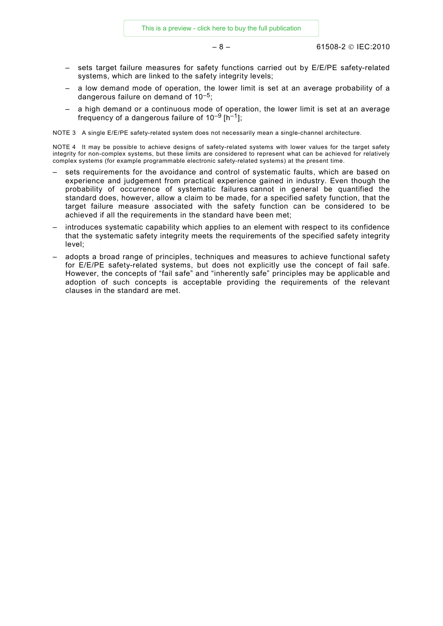– 8 – 61508-2 © IEC:2010

- sets target failure measures for safety functions carried out by E/E/PE safety-related systems, which are linked to the safety integrity levels;
- a low demand mode of operation, the lower limit is set at an average probability of a dangerous failure on demand of  $10^{-5}$ .
- a high demand or a continuous mode of operation, the lower limit is set at an average frequency of a dangerous failure of  $10^{-9}$  [h<sup>-1</sup>];

NOTE 3 A single E/E/PE safety-related system does not necessarily mean a single-channel architecture.

NOTE 4 It may be possible to achieve designs of safety-related systems with lower values for the target safety integrity for non-complex systems, but these limits are considered to represent what can be achieved for relatively complex systems (for example programmable electronic safety-related systems) at the present time.

- sets requirements for the avoidance and control of systematic faults, which are based on experience and judgement from practical experience gained in industry. Even though the probability of occurrence of systematic failures cannot in general be quantified the standard does, however, allow a claim to be made, for a specified safety function, that the target failure measure associated with the safety function can be considered to be achieved if all the requirements in the standard have been met;
- introduces systematic capability which applies to an element with respect to its confidence that the systematic safety integrity meets the requirements of the specified safety integrity level;
- adopts a broad range of principles, techniques and measures to achieve functional safety for E/E/PE safety-related systems, but does not explicitly use the concept of fail safe. However, the concepts of "fail safe" and "inherently safe" principles may be applicable and adoption of such concepts is acceptable providing the requirements of the relevant clauses in the standard are met.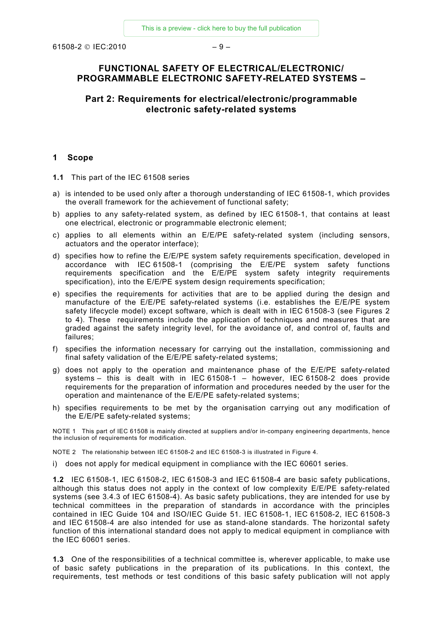#### <span id="page-8-0"></span>**FUNCTIONAL SAFETY OF ELECTRICAL/ELECTRONIC/ PROGRAMMABLE ELECTRONIC SAFETY-RELATED SYSTEMS –**

**Part 2: Requirements for electrical/electronic/programmable electronic safety-related systems** 

#### **1 Scope**

- **1.1** This part of the IEC 61508 series
- a) is intended to be used only after a thorough understanding of IEC 61508-1, which provides the overall framework for the achievement of functional safety;
- b) applies to any safety-related system, as defined by IEC 61508-1, that contains at least one electrical, electronic or programmable electronic element;
- c) applies to all elements within an E/E/PE safety-related system (including sensors, actuators and the operator interface);
- d) specifies how to refine the E/E/PE system safety requirements specification, developed in accordance with IEC 61508-1 (comprising the E/E/PE system safety functions requirements specification and the E/E/PE system safety integrity requirements specification), into the E/E/PE system design requirements specification;
- e) specifies the requirements for activities that are to be applied during the design and manufacture of the E/E/PE safety-related systems (i.e. establishes the E/E/PE system safety lifecycle model) except software, which is dealt with in IEC 61508-3 (see Figures 2 to 4). These requirements include the application of techniques and measures that are graded against the safety integrity level, for the avoidance of, and control of, faults and failures;
- f) specifies the information necessary for carrying out the installation, commissioning and final safety validation of the E/E/PE safety-related systems;
- g) does not apply to the operation and maintenance phase of the E/E/PE safety-related systems – this is dealt with in IEC 61508-1 – however, IEC 61508-2 does provide requirements for the preparation of information and procedures needed by the user for the operation and maintenance of the E/E/PE safety-related systems;
- h) specifies requirements to be met by the organisation carrying out any modification of the E/E/PE safety-related systems;

NOTE 1 This part of IEC 61508 is mainly directed at suppliers and/or in-company engineering departments, hence the inclusion of requirements for modification.

NOTE 2 The relationship between IEC 61508-2 and IEC 61508-3 is illustrated in Figure 4.

i) does not apply for medical equipment in compliance with the IEC 60601 series.

**1.2** IEC 61508-1, IEC 61508-2, IEC 61508-3 and IEC 61508-4 are basic safety publications, although this status does not apply in the context of low complexity E/E/PE safety-related systems (see 3.4.3 of IEC 61508-4). As basic safety publications, they are intended for use by technical committees in the preparation of standards in accordance with the principles contained in IEC Guide 104 and ISO/IEC Guide 51. IEC 61508-1, IEC 61508-2, IEC 61508-3 and IEC 61508-4 are also intended for use as stand-alone standards. The horizontal safety function of this international standard does not apply to medical equipment in compliance with the IEC 60601 series.

**1.3** One of the responsibilities of a technical committee is, wherever applicable, to make use of basic safety publications in the preparation of its publications. In this context, the requirements, test methods or test conditions of this basic safety publication will not apply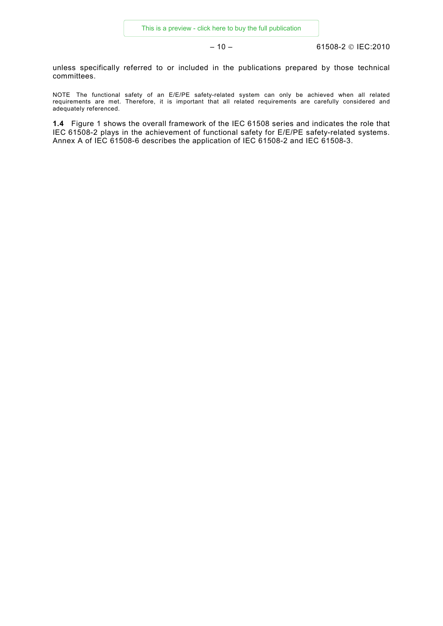– 10 – 61508-2 © IEC:2010

unless specifically referred to or included in the publications prepared by those technical committees.

NOTE The functional safety of an E/E/PE safety-related system can only be achieved when all related requirements are met. Therefore, it is important that all related requirements are carefully considered and adequately referenced.

**1.4** Figure 1 shows the overall framework of the IEC 61508 series and indicates the role that IEC 61508-2 plays in the achievement of functional safety for E/E/PE safety-related systems. Annex A of IEC 61508-6 describes the application of IEC 61508-2 and IEC 61508-3.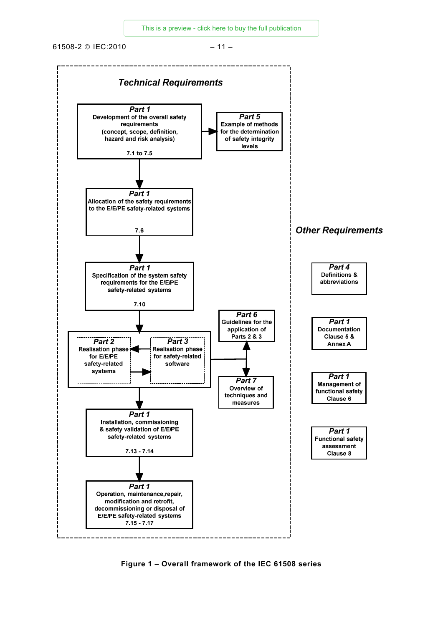[This is a preview - click here to buy the full publication](https://webstore.iec.ch/publication/5516&preview=1)

<span id="page-10-0"></span>61508-2 © IEC:2010 – 11 –



**Figure 1 – Overall framework of the IEC 61508 series**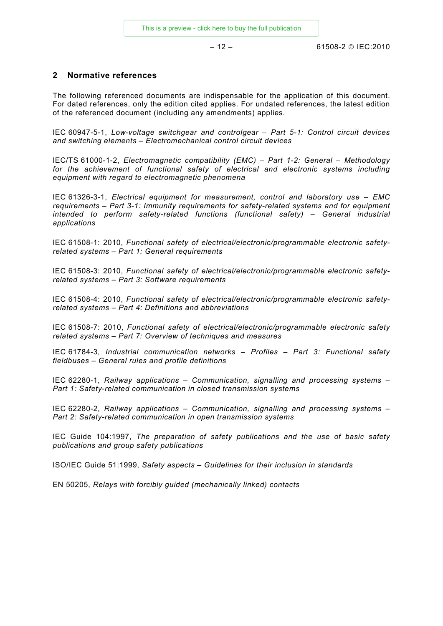#### <span id="page-11-0"></span>**2 Normative references**

The following referenced documents are indispensable for the application of this document. For dated references, only the edition cited applies. For undated references, the latest edition of the referenced document (including any amendments) applies.

IEC 60947-5-1, *Low-voltage switchgear and controlgear – Part 5-1: Control circuit devices and switching elements – Electromechanical control circuit devices*

IEC/TS 61000-1-2, *Electromagnetic compatibility (EMC) – Part 1-2: General – Methodology for the achievement of functional safety of electrical and electronic systems including equipment with regard to electromagnetic phenomena*

IEC 61326-3-1, *Electrical equipment for measurement, control and laboratory use – EMC requirements – Part 3-1: Immunity requirements for safety-related systems and for equipment intended to perform safety-related functions (functional safety) – General industrial applications*

IEC 61508-1: 2010, *Functional safety of electrical/electronic/programmable electronic safetyrelated systems – Part 1: General requirements*

IEC 61508-3: 2010, *Functional safety of electrical/electronic/programmable electronic safetyrelated systems – Part 3: Software requirements*

IEC 61508-4: 2010, *Functional safety of electrical/electronic/programmable electronic safetyrelated systems – Part 4: Definitions and abbreviations*

IEC 61508-7: 2010, *Functional safety of electrical/electronic/programmable electronic safety related systems – Part 7: Overview of techniques and measures*

IEC 61784-3, *Industrial communication networks – Profiles – Part 3: Functional safety fieldbuses – General rules and profile definitions*

IEC 62280-1, *Railway applications – Communication, signalling and processing systems – Part 1: Safety-related communication in closed transmission systems* 

IEC 62280-2, *Railway applications – Communication, signalling and processing systems – Part 2: Safety-related communication in open transmission systems* 

IEC Guide 104:1997, *The preparation of safety publications and the use of basic safety publications and group safety publications* 

ISO/IEC Guide 51:1999, *Safety aspects – Guidelines for their inclusion in standards* 

EN 50205, *Relays with forcibly guided (mechanically linked) contacts*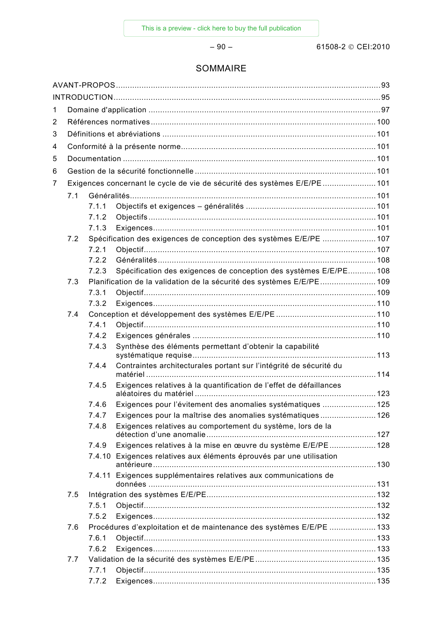– 90 – 61508-2 © CEI:2010

#### SOMMAIRE

| 1 |     |       |                                                                          |  |  |
|---|-----|-------|--------------------------------------------------------------------------|--|--|
| 2 |     |       |                                                                          |  |  |
| 3 |     |       |                                                                          |  |  |
| 4 |     |       |                                                                          |  |  |
| 5 |     |       |                                                                          |  |  |
| 6 |     |       |                                                                          |  |  |
| 7 |     |       |                                                                          |  |  |
|   |     |       | Exigences concernant le cycle de vie de sécurité des systèmes E/E/PE 101 |  |  |
|   | 7.1 | 7.1.1 |                                                                          |  |  |
|   |     | 7.1.2 |                                                                          |  |  |
|   |     | 7.1.3 |                                                                          |  |  |
|   | 7.2 |       | Spécification des exigences de conception des systèmes E/E/PE  107       |  |  |
|   |     | 7.2.1 |                                                                          |  |  |
|   |     | 7.2.2 |                                                                          |  |  |
|   |     | 7.2.3 | Spécification des exigences de conception des systèmes E/E/PE 108        |  |  |
|   | 7.3 |       | Planification de la validation de la sécurité des systèmes E/E/PE 109    |  |  |
|   |     | 7.3.1 |                                                                          |  |  |
|   |     | 7.3.2 |                                                                          |  |  |
|   | 7.4 |       |                                                                          |  |  |
|   |     | 7.4.1 |                                                                          |  |  |
|   |     | 7.4.2 |                                                                          |  |  |
|   |     | 7.4.3 | Synthèse des éléments permettant d'obtenir la capabilité                 |  |  |
|   |     | 7.4.4 | Contraintes architecturales portant sur l'intégrité de sécurité du       |  |  |
|   |     | 7.4.5 | Exigences relatives à la quantification de l'effet de défaillances       |  |  |
|   |     | 7.4.6 | Exigences pour l'évitement des anomalies systématiques  125              |  |  |
|   |     | 7.4.7 | Exigences pour la maîtrise des anomalies systématiques 126               |  |  |
|   |     | 7.4.8 | Exigences relatives au comportement du système, lors de la               |  |  |
|   |     | 7.4.9 | Exigences relatives à la mise en œuvre du système E/E/PE 128             |  |  |
|   |     |       | 7.4.10 Exigences relatives aux éléments éprouvés par une utilisation     |  |  |
|   |     |       | 7.4.11 Exigences supplémentaires relatives aux communications de         |  |  |
|   | 7.5 |       |                                                                          |  |  |
|   |     | 7.5.1 |                                                                          |  |  |
|   |     | 7.5.2 |                                                                          |  |  |
|   | 7.6 |       | Procédures d'exploitation et de maintenance des systèmes E/E/PE  133     |  |  |
|   |     | 7.6.1 |                                                                          |  |  |
|   |     | 7.6.2 |                                                                          |  |  |
|   | 7.7 |       |                                                                          |  |  |
|   |     | 7.7.1 |                                                                          |  |  |
|   |     | 7.7.2 |                                                                          |  |  |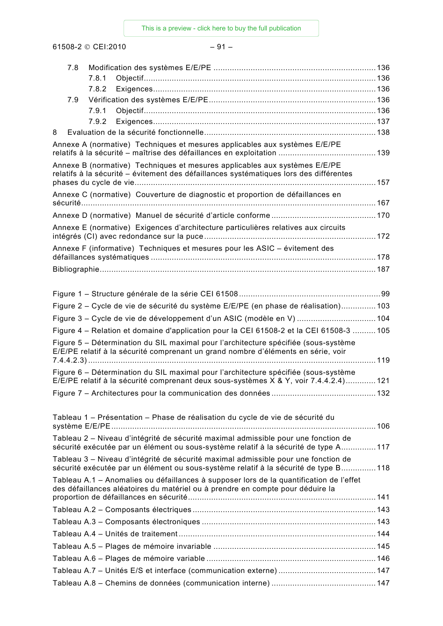| 61508-2 © CEI:2010 |  |  |  |  |  |  |
|--------------------|--|--|--|--|--|--|
|--------------------|--|--|--|--|--|--|

### $-91-$

| 7.8          |                                                                                                                                                                              |  |
|--------------|------------------------------------------------------------------------------------------------------------------------------------------------------------------------------|--|
| 7.8.1        |                                                                                                                                                                              |  |
| 7.8.2<br>7.9 |                                                                                                                                                                              |  |
| 7.9.1        |                                                                                                                                                                              |  |
| 7.9.2        |                                                                                                                                                                              |  |
| 8            |                                                                                                                                                                              |  |
|              | Annexe A (normative) Techniques et mesures applicables aux systèmes E/E/PE                                                                                                   |  |
|              | Annexe B (normative) Techniques et mesures applicables aux systèmes E/E/PE<br>relatifs à la sécurité - évitement des défaillances systématiques lors des différentes         |  |
|              | Annexe C (normative) Couverture de diagnostic et proportion de défaillances en                                                                                               |  |
|              |                                                                                                                                                                              |  |
|              | Annexe E (normative) Exigences d'architecture particulières relatives aux circuits                                                                                           |  |
|              | Annexe F (informative) Techniques et mesures pour les ASIC - évitement des                                                                                                   |  |
|              |                                                                                                                                                                              |  |
|              |                                                                                                                                                                              |  |
|              |                                                                                                                                                                              |  |
|              | Figure 2 – Cycle de vie de sécurité du système E/E/PE (en phase de réalisation) 103                                                                                          |  |
|              | Figure 3 – Cycle de vie de développement d'un ASIC (modèle en V)  104                                                                                                        |  |
|              | Figure 4 - Relation et domaine d'application pour la CEI 61508-2 et la CEI 61508-3  105                                                                                      |  |
|              | Figure 5 - Détermination du SIL maximal pour l'architecture spécifiée (sous-système<br>E/E/PE relatif à la sécurité comprenant un grand nombre d'éléments en série, voir     |  |
|              |                                                                                                                                                                              |  |
|              | Figure 6 - Détermination du SIL maximal pour l'architecture spécifiée (sous-système<br>E/E/PE relatif à la sécurité comprenant deux sous-systèmes X & Y, voir 7.4.4.2.4) 121 |  |
|              |                                                                                                                                                                              |  |
|              | Tableau 1 – Présentation – Phase de réalisation du cycle de vie de sécurité du                                                                                               |  |
|              | Tableau 2 – Niveau d'intégrité de sécurité maximal admissible pour une fonction de<br>sécurité exécutée par un élément ou sous-système relatif à la sécurité de type A117    |  |
|              | Tableau 3 – Niveau d'intégrité de sécurité maximal admissible pour une fonction de<br>sécurité exécutée par un élément ou sous-système relatif à la sécurité de type B118    |  |
|              | Tableau A.1 - Anomalies ou défaillances à supposer lors de la quantification de l'effet<br>des défaillances aléatoires du matériel ou à prendre en compte pour déduire la    |  |
|              |                                                                                                                                                                              |  |
|              |                                                                                                                                                                              |  |
|              |                                                                                                                                                                              |  |
|              |                                                                                                                                                                              |  |
|              |                                                                                                                                                                              |  |
|              |                                                                                                                                                                              |  |
|              |                                                                                                                                                                              |  |
|              |                                                                                                                                                                              |  |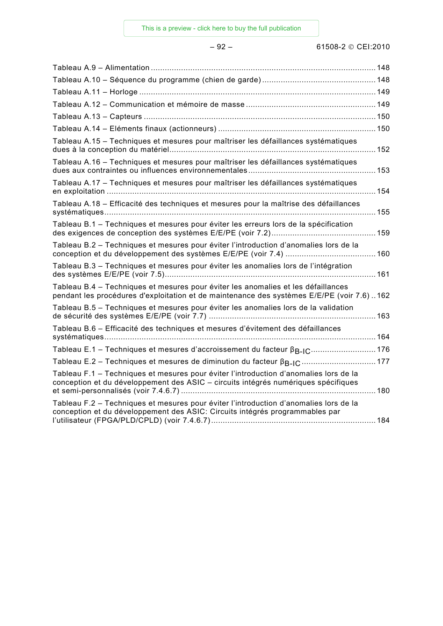| Tableau A.15 - Techniques et mesures pour maîtriser les défaillances systématiques                                                                                             |  |
|--------------------------------------------------------------------------------------------------------------------------------------------------------------------------------|--|
| Tableau A.16 - Techniques et mesures pour maîtriser les défaillances systématiques                                                                                             |  |
| Tableau A.17 - Techniques et mesures pour maîtriser les défaillances systématiques                                                                                             |  |
| Tableau A.18 - Efficacité des techniques et mesures pour la maîtrise des défaillances                                                                                          |  |
| Tableau B.1 - Techniques et mesures pour éviter les erreurs lors de la spécification                                                                                           |  |
| Tableau B.2 - Techniques et mesures pour éviter l'introduction d'anomalies lors de la                                                                                          |  |
| Tableau B.3 - Techniques et mesures pour éviter les anomalies lors de l'intégration                                                                                            |  |
| Tableau B.4 - Techniques et mesures pour éviter les anomalies et les défaillances<br>pendant les procédures d'exploitation et de maintenance des systèmes E/E/PE (voir 7.6)162 |  |
| Tableau B.5 - Techniques et mesures pour éviter les anomalies lors de la validation                                                                                            |  |
| Tableau B.6 - Efficacité des techniques et mesures d'évitement des défaillances                                                                                                |  |
| Tableau E.1 - Techniques et mesures d'accroissement du facteur $\beta_{B-I}$ 176                                                                                               |  |
| Tableau E.2 - Techniques et mesures de diminution du facteur $\beta_{B-1}$ 177                                                                                                 |  |
| Tableau F.1 - Techniques et mesures pour éviter l'introduction d'anomalies lors de la<br>conception et du développement des ASIC - circuits intégrés numériques spécifiques    |  |
| Tableau F.2 - Techniques et mesures pour éviter l'introduction d'anomalies lors de la<br>conception et du développement des ASIC: Circuits intégrés programmables par          |  |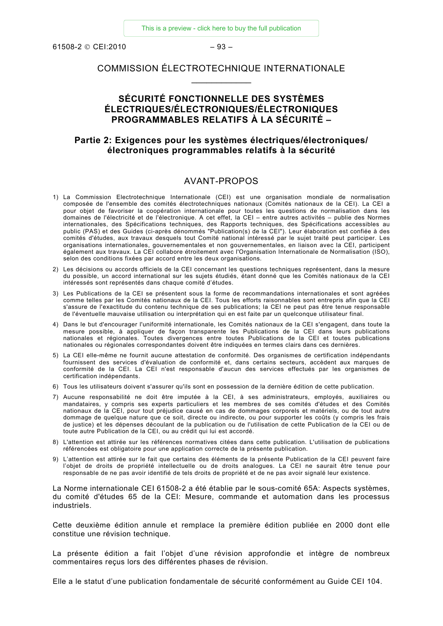<span id="page-15-0"></span> $61508-2$  © CFI:2010 – 93

#### COMMISSION ÉLECTROTECHNIQUE INTERNATIONALE  $\frac{1}{2}$  ,  $\frac{1}{2}$  ,  $\frac{1}{2}$  ,  $\frac{1}{2}$  ,  $\frac{1}{2}$  ,  $\frac{1}{2}$

#### **SÉCURITÉ FONCTIONNELLE DES SYSTÈMES ÉLECTRIQUES/ÉLECTRONIQUES/ÉLECTRONIQUES PROGRAMMABLES RELATIFS À LA SÉCURITÉ –**

#### **Partie 2: Exigences pour les systèmes électriques/électroniques/ électroniques programmables relatifs à la sécurité**

#### AVANT-PROPOS

- 1) La Commission Electrotechnique Internationale (CEI) est une organisation mondiale de normalisation composée de l'ensemble des comités électrotechniques nationaux (Comités nationaux de la CEI). La CEI a pour objet de favoriser la coopération internationale pour toutes les questions de normalisation dans les domaines de l'électricité et de l'électronique. A cet effet, la CEI – entre autres activités – publie des Normes internationales, des Spécifications techniques, des Rapports techniques, des Spécifications accessibles au public (PAS) et des Guides (ci-après dénommés "Publication(s) de la CEI"). Leur élaboration est confiée à des comités d'études, aux travaux desquels tout Comité national intéressé par le sujet traité peut participer. Les organisations internationales, gouvernementales et non gouvernementales, en liaison avec la CEI, participent également aux travaux. La CEI collabore étroitement avec l'Organisation Internationale de Normalisation (ISO), selon des conditions fixées par accord entre les deux organisations.
- 2) Les décisions ou accords officiels de la CEI concernant les questions techniques représentent, dans la mesure du possible, un accord international sur les sujets étudiés, étant donné que les Comités nationaux de la CEI intéressés sont représentés dans chaque comité d'études.
- 3) Les Publications de la CEI se présentent sous la forme de recommandations internationales et sont agréées comme telles par les Comités nationaux de la CEI. Tous les efforts raisonnables sont entrepris afin que la CEI s'assure de l'exactitude du contenu technique de ses publications; la CEI ne peut pas être tenue responsable de l'éventuelle mauvaise utilisation ou interprétation qui en est faite par un quelconque utilisateur final.
- 4) Dans le but d'encourager l'uniformité internationale, les Comités nationaux de la CEI s'engagent, dans toute la mesure possible, à appliquer de façon transparente les Publications de la CEI dans leurs publications nationales et régionales. Toutes divergences entre toutes Publications de la CEI et toutes publications nationales ou régionales correspondantes doivent être indiquées en termes clairs dans ces dernières.
- 5) La CEI elle-même ne fournit aucune attestation de conformité. Des organismes de certification indépendants fournissent des services d'évaluation de conformité et, dans certains secteurs, accèdent aux marques de conformité de la CEI. La CEI n'est responsable d'aucun des services effectués par les organismes de certification indépendants.
- 6) Tous les utilisateurs doivent s'assurer qu'ils sont en possession de la dernière édition de cette publication.
- 7) Aucune responsabilité ne doit être imputée à la CEI, à ses administrateurs, employés, auxiliaires ou mandataires, y compris ses experts particuliers et les membres de ses comités d'études et des Comités nationaux de la CEI, pour tout préjudice causé en cas de dommages corporels et matériels, ou de tout autre dommage de quelque nature que ce soit, directe ou indirecte, ou pour supporter les coûts (y compris les frais de justice) et les dépenses découlant de la publication ou de l'utilisation de cette Publication de la CEI ou de toute autre Publication de la CEI, ou au crédit qui lui est accordé.
- 8) L'attention est attirée sur les références normatives citées dans cette publication. L'utilisation de publications référencées est obligatoire pour une application correcte de la présente publication.
- 9) L'attention est attirée sur le fait que certains des éléments de la présente Publication de la CEI peuvent faire l'objet de droits de propriété intellectuelle ou de droits analogues. La CEI ne saurait être tenue pour responsable de ne pas avoir identifié de tels droits de propriété et de ne pas avoir signalé leur existence.

La Norme internationale CEI 61508-2 a été établie par le sous-comité 65A: Aspects systèmes, du comité d'études 65 de la CEI: Mesure, commande et automation dans les processus industriels.

Cette deuxième édition annule et remplace la première édition publiée en 2000 dont elle constitue une révision technique.

La présente édition a fait l'objet d'une révision approfondie et intègre de nombreux commentaires reçus lors des différentes phases de révision.

Elle a le statut d'une publication fondamentale de sécurité conformément au Guide CEI 104.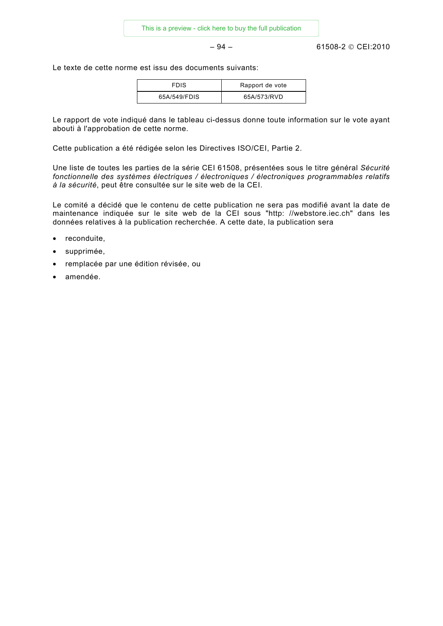– 94 – 61508-2 © CEI:2010

Le texte de cette norme est issu des documents suivants:

| <b>FDIS</b>  | Rapport de vote |  |  |
|--------------|-----------------|--|--|
| 65A/549/FDIS | 65A/573/RVD     |  |  |

Le rapport de vote indiqué dans le tableau ci-dessus donne toute information sur le vote ayant abouti à l'approbation de cette norme.

Cette publication a été rédigée selon les Directives ISO/CEI, Partie 2.

Une liste de toutes les parties de la série CEI 61508, présentées sous le titre général *Sécurité fonctionnelle des systèmes électriques / électroniques / électroniques programmables relatifs à la sécurité*, peut être consultée sur le site web de la CEI.

Le comité a décidé que le contenu de cette publication ne sera pas modifié avant la date de maintenance indiquée sur le site web de la CEI sous "http: //webstore.iec.ch" dans les données relatives à la publication recherchée. A cette date, la publication sera

- reconduite,
- supprimée,
- remplacée par une édition révisée, ou
- amendée.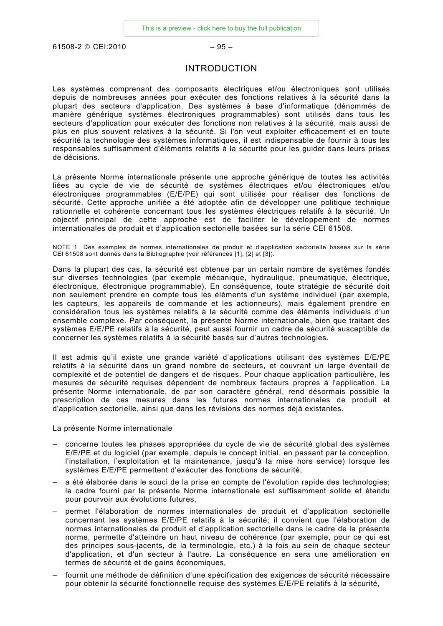<span id="page-17-0"></span> $61508-2$  © CFI:2010 – 95

#### INTRODUCTION

Les systèmes comprenant des composants électriques et/ou électroniques sont utilisés depuis de nombreuses années pour exécuter des fonctions relatives à la sécurité dans la plupart des secteurs d'application. Des systèmes à base d'informatique (dénommés de manière générique systèmes électroniques programmables) sont utilisés dans tous les secteurs d'application pour exécuter des fonctions non relatives à la sécurité, mais aussi de plus en plus souvent relatives à la sécurité. Si l'on veut exploiter efficacement et en toute sécurité la technologie des systèmes informatiques, il est indispensable de fournir à tous les responsables suffisamment d'éléments relatifs à la sécurité pour les guider dans leurs prises de décisions.

La présente Norme internationale présente une approche générique de toutes les activités liées au cycle de vie de sécurité de systèmes électriques et/ou électroniques et/ou électroniques programmables (E/E/PE) qui sont utilisés pour réaliser des fonctions de sécurité. Cette approche unifiée a été adoptée afin de développer une politique technique rationnelle et cohérente concernant tous les systèmes électriques relatifs à la sécurité. Un objectif principal de cette approche est de faciliter le développement de normes internationales de produit et d'application sectorielle basées sur la série CEI 61508.

NOTE 1 Des exemples de normes internationales de produit et d'application sectorielle basées sur la série CEI 61508 sont donnés dans la Bibliographie (voir références [1], [2] et [3]).

Dans la plupart des cas, la sécurité est obtenue par un certain nombre de systèmes fondés sur diverses technologies (par exemple mécanique, hydraulique, pneumatique, électrique, électronique, électronique programmable). En conséquence, toute stratégie de sécurité doit non seulement prendre en compte tous les éléments d'un système individuel (par exemple, les capteurs, les appareils de commande et les actionneurs), mais également prendre en considération tous les systèmes relatifs à la sécurité comme des éléments individuels d'un ensemble complexe. Par conséquent, la présente Norme internationale, bien que traitant des systèmes E/E/PE relatifs à la sécurité, peut aussi fournir un cadre de sécurité susceptible de concerner les systèmes relatifs à la sécurité basés sur d'autres technologies.

Il est admis qu'il existe une grande variété d'applications utilisant des systèmes E/E/PE relatifs à la sécurité dans un grand nombre de secteurs, et couvrant un large éventail de complexité et de potentiel de dangers et de risques. Pour chaque application particulière, les mesures de sécurité requises dépendent de nombreux facteurs propres à l'application. La présente Norme internationale, de par son caractère général, rend désormais possible la prescription de ces mesures dans les futures normes internationales de produit et d'application sectorielle, ainsi que dans les révisions des normes déjà existantes.

La présente Norme internationale

- concerne toutes les phases appropriées du cycle de vie de sécurité global des systèmes E/E/PE et du logiciel (par exemple, depuis le concept initial, en passant par la conception, l'installation, l'exploitation et la maintenance, jusqu'à la mise hors service) lorsque les systèmes E/E/PE permettent d'exécuter des fonctions de sécurité,
- a été élaborée dans le souci de la prise en compte de l'évolution rapide des technologies; le cadre fourni par la présente Norme internationale est suffisamment solide et étendu pour pourvoir aux évolutions futures,
- permet l'élaboration de normes internationales de produit et d'application sectorielle concernant les systèmes E/E/PE relatifs à la sécurité; il convient que l'élaboration de normes internationales de produit et d'application sectorielle dans le cadre de la présente norme, permette d'atteindre un haut niveau de cohérence (par exemple, pour ce qui est des principes sous-jacents, de la terminologie, etc.) à la fois au sein de chaque secteur d'application, et d'un secteur à l'autre. La conséquence en sera une amélioration en termes de sécurité et de gains économiques,
- fournit une méthode de définition d'une spécification des exigences de sécurité nécessaire pour obtenir la sécurité fonctionnelle requise des systèmes E/E/PE relatifs à la sécurité,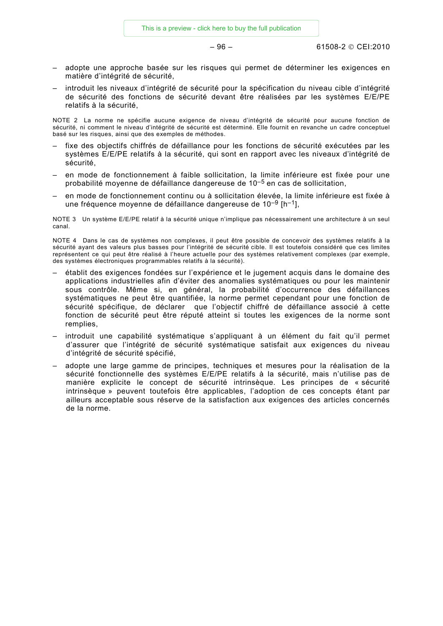– 96 – 61508-2 © CEI:2010

- adopte une approche basée sur les risques qui permet de déterminer les exigences en matière d'intégrité de sécurité,
- introduit les niveaux d'intégrité de sécurité pour la spécification du niveau cible d'intégrité de sécurité des fonctions de sécurité devant être réalisées par les systèmes E/E/PE relatifs à la sécurité,

NOTE 2 La norme ne spécifie aucune exigence de niveau d'intégrité de sécurité pour aucune fonction de sécurité, ni comment le niveau d'intégrité de sécurité est déterminé. Elle fournit en revanche un cadre conceptuel basé sur les risques, ainsi que des exemples de méthodes.

- fixe des objectifs chiffrés de défaillance pour les fonctions de sécurité exécutées par les systèmes E/E/PE relatifs à la sécurité, qui sont en rapport avec les niveaux d'intégrité de sécurité,
- en mode de fonctionnement à faible sollicitation, la limite inférieure est fixée pour une probabilité moyenne de défaillance dangereuse de  $10^{-5}$  en cas de sollicitation,
- en mode de fonctionnement continu ou à sollicitation élevée, la limite inférieure est fixée à une fréquence moyenne de défaillance dangereuse de  $10^{-9}$  [h<sup>-1</sup>].

NOTE 3 Un système E/E/PE relatif à la sécurité unique n'implique pas nécessairement une architecture à un seul canal.

NOTE 4 Dans le cas de systèmes non complexes, il peut être possible de concevoir des systèmes relatifs à la sécurité ayant des valeurs plus basses pour l'intégrité de sécurité cible. Il est toutefois considéré que ces limites représentent ce qui peut être réalisé à l'heure actuelle pour des systèmes relativement complexes (par exemple, des systèmes électroniques programmables relatifs à la sécurité).

- établit des exigences fondées sur l'expérience et le jugement acquis dans le domaine des applications industrielles afin d'éviter des anomalies systématiques ou pour les maintenir sous contrôle. Même si, en général, la probabilité d'occurrence des défaillances systématiques ne peut être quantifiée, la norme permet cependant pour une fonction de sécurité spécifique, de déclarer que l'objectif chiffré de défaillance associé à cette fonction de sécurité peut être réputé atteint si toutes les exigences de la norme sont remplies,
- introduit une capabilité systématique s'appliquant à un élément du fait qu'il permet d'assurer que l'intégrité de sécurité systématique satisfait aux exigences du niveau d'intégrité de sécurité spécifié,
- adopte une large gamme de principes, techniques et mesures pour la réalisation de la sécurité fonctionnelle des systèmes E/E/PE relatifs à la sécurité, mais n'utilise pas de manière explicite le concept de sécurité intrinsèque. Les principes de « sécurité intrinsèque » peuvent toutefois être applicables, l'adoption de ces concepts étant par ailleurs acceptable sous réserve de la satisfaction aux exigences des articles concernés de la norme.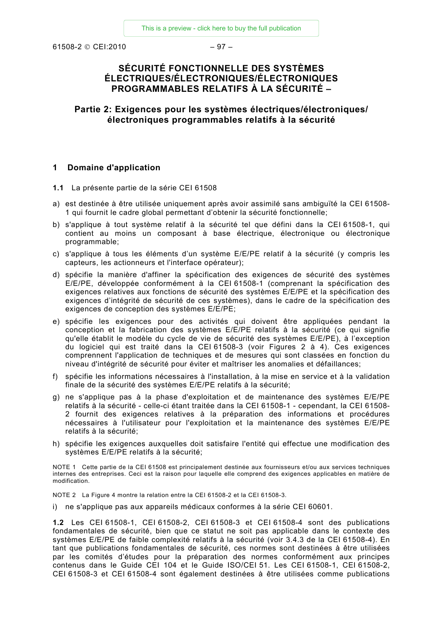<span id="page-19-0"></span> $61508 - 2 \circ \text{CE}$ : 2010 – 97 –

#### **SÉCURITÉ FONCTIONNELLE DES SYSTÈMES ÉLECTRIQUES/ÉLECTRONIQUES/ÉLECTRONIQUES PROGRAMMABLES RELATIFS À LA SÉCURITÉ –**

**Partie 2: Exigences pour les systèmes électriques/électroniques/ électroniques programmables relatifs à la sécurité** 

#### **1 Domaine d'application**

- **1.1** La présente partie de la série CEI 61508
- a) est destinée à être utilisée uniquement après avoir assimilé sans ambiguïté la CEI 61508- 1 qui fournit le cadre global permettant d'obtenir la sécurité fonctionnelle;
- b) s'applique à tout système relatif à la sécurité tel que défini dans la CEI 61508-1, qui contient au moins un composant à base électrique, électronique ou électronique programmable;
- c) s'applique à tous les éléments d'un système E/E/PE relatif à la sécurité (y compris les capteurs, les actionneurs et l'interface opérateur);
- d) spécifie la manière d'affiner la spécification des exigences de sécurité des systèmes E/E/PE, développée conformément à la CEI 61508-1 (comprenant la spécification des exigences relatives aux fonctions de sécurité des systèmes E/E/PE et la spécification des exigences d'intégrité de sécurité de ces systèmes), dans le cadre de la spécification des exigences de conception des systèmes E/E/PE;
- e) spécifie les exigences pour des activités qui doivent être appliquées pendant la conception et la fabrication des systèmes E/E/PE relatifs à la sécurité (ce qui signifie qu'elle établit le modèle du cycle de vie de sécurité des systèmes E/E/PE), à l'exception du logiciel qui est traité dans la CEI 61508-3 (voir Figures 2 à 4). Ces exigences comprennent l'application de techniques et de mesures qui sont classées en fonction du niveau d'intégrité de sécurité pour éviter et maîtriser les anomalies et défaillances;
- f) spécifie les informations nécessaires à l'installation, à la mise en service et à la validation finale de la sécurité des systèmes E/E/PE relatifs à la sécurité;
- g) ne s'applique pas à la phase d'exploitation et de maintenance des systèmes E/E/PE relatifs à la sécurité - celle-ci étant traitée dans la CEI 61508-1 - cependant, la CEI 61508- 2 fournit des exigences relatives à la préparation des informations et procédures nécessaires à l'utilisateur pour l'exploitation et la maintenance des systèmes E/E/PE relatifs à la sécurité;
- h) spécifie les exigences auxquelles doit satisfaire l'entité qui effectue une modification des systèmes E/E/PE relatifs à la sécurité;

NOTE 1 Cette partie de la CEI 61508 est principalement destinée aux fournisseurs et/ou aux services techniques internes des entreprises. Ceci est la raison pour laquelle elle comprend des exigences applicables en matière de modification.

NOTE 2 La Figure 4 montre la relation entre la CEI 61508-2 et la CEI 61508-3.

i) ne s'applique pas aux appareils médicaux conformes à la série CEI 60601.

**1.2** Les CEI 61508-1, CEI 61508-2, CEI 61508-3 et CEI 61508-4 sont des publications fondamentales de sécurité, bien que ce statut ne soit pas applicable dans le contexte des systèmes E/E/PE de faible complexité relatifs à la sécurité (voir 3.4.3 de la CEI 61508-4). En tant que publications fondamentales de sécurité, ces normes sont destinées à être utilisées par les comités d'études pour la préparation des normes conformément aux principes contenus dans le Guide CEI 104 et le Guide ISO/CEI 51. Les CEI 61508-1, CEI 61508-2, CEI 61508-3 et CEI 61508-4 sont également destinées à être utilisées comme publications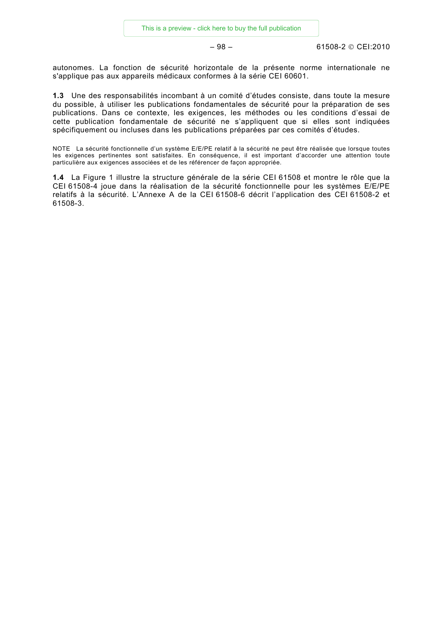– 98 – 61508-2 © CEI:2010

autonomes. La fonction de sécurité horizontale de la présente norme internationale ne s'applique pas aux appareils médicaux conformes à la série CEI 60601.

**1.3** Une des responsabilités incombant à un comité d'études consiste, dans toute la mesure du possible, à utiliser les publications fondamentales de sécurité pour la préparation de ses publications. Dans ce contexte, les exigences, les méthodes ou les conditions d'essai de cette publication fondamentale de sécurité ne s'appliquent que si elles sont indiquées spécifiquement ou incluses dans les publications préparées par ces comités d'études.

NOTE La sécurité fonctionnelle d'un système E/E/PE relatif à la sécurité ne peut être réalisée que lorsque toutes les exigences pertinentes sont satisfaites. En conséquence, il est important d'accorder une attention toute particulière aux exigences associées et de les référencer de façon appropriée.

**1.4** La Figure 1 illustre la structure générale de la série CEI 61508 et montre le rôle que la CEI 61508-4 joue dans la réalisation de la sécurité fonctionnelle pour les systèmes E/E/PE relatifs à la sécurité. L'Annexe A de la CEI 61508-6 décrit l'application des CEI 61508-2 et 61508-3.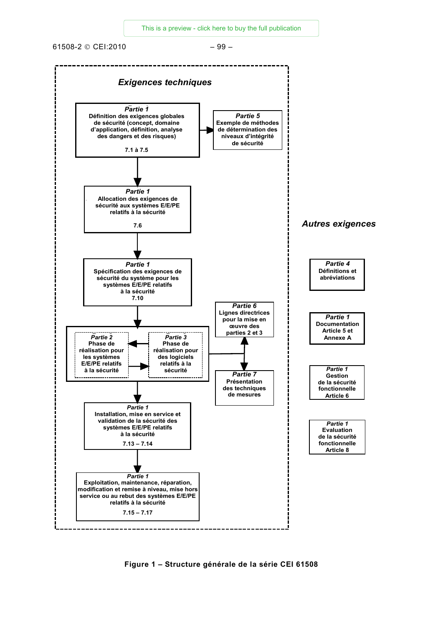[This is a preview - click here to buy the full publication](https://webstore.iec.ch/publication/5516&preview=1)

<span id="page-21-0"></span>61508-2 © CEI:2010 – 99 –



**Figure 1 – Structure générale de la série CEI 61508**